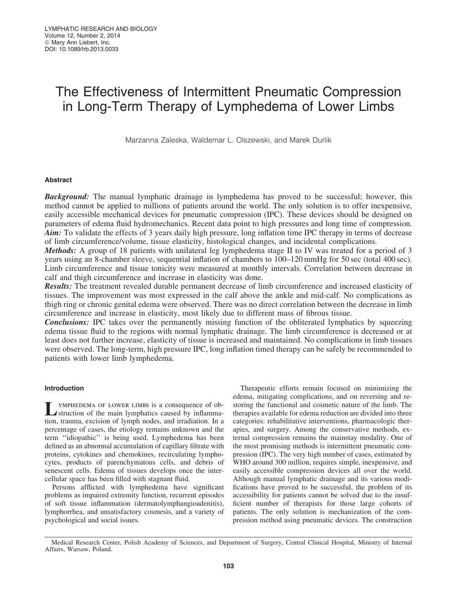# The Effectiveness of Intermittent Pneumatic Compression in Long-Term Therapy of Lymphedema of Lower Limbs

Marzanna Zaleska, Waldemar L. Olszewski, and Marek Durlik

## Abstract

**Background:** The manual lymphatic drainage in lymphedema has proved to be successful; however, this method cannot be applied to millions of patients around the world. The only solution is to offer inexpensive, easily accessible mechanical devices for pneumatic compression (IPC). These devices should be designed on parameters of edema fluid hydromechanics. Recent data point to high pressures and long time of compression. Aim: To validate the effects of 3 years daily high pressure, long inflation time IPC therapy in terms of decrease of limb circumference/volume, tissue elasticity, histological changes, and incidental complications.

Methods: A group of 18 patients with unilateral leg lymphedema stage II to IV was treated for a period of 3 years using an 8-chamber sleeve, sequential inflation of chambers to 100–120 mmHg for 50 sec (total 400 sec). Limb circumference and tissue tonicity were measured at monthly intervals. Correlation between decrease in calf and thigh circumference and increase in elasticity was done.

Results: The treatment revealed durable permanent decrease of limb circumference and increased elasticity of tissues. The improvement was most expressed in the calf above the ankle and mid-calf. No complications as thigh ring or chronic genital edema were observed. There was no direct correlation between the decrease in limb circumference and increase in elasticity, most likely due to different mass of fibrous tissue.

**Conclusions:** IPC takes over the permanently missing function of the obliterated lymphatics by squeezing edema tissue fluid to the regions with normal lymphatic drainage. The limb circumference is decreased or at least does not further increase, elasticity of tissue is increased and maintained. No complications in limb tissues were observed. The long-term, high pressure IPC, long inflation timed therapy can be safely be recommended to patients with lower limb lymphedema.

# Introduction

Lymphedema of lower limbs is a consequence of ob-struction of the main lymphatics caused by inflammation, trauma, excision of lymph nodes, and irradiation. In a percentage of cases, the etiology remains unknown and the term ''idiopathic'' is being used. Lymphedema has been defined as an abnormal accumulation of capillary filtrate with proteins, cytokines and chemokines, recirculating lymphocytes, products of parenchymatous cells, and debris of senescent cells. Edema of tissues develops once the intercellular space has been filled with stagnant fluid.

Persons afflicted with lymphedema have significant problems as impaired extremity function, recurrent episodes of soft tissue inflammation (dermatolymphangioadenitis), lymphorrhea, and unsatisfactory cosmesis, and a variety of psychological and social issues.

Therapeutic efforts remain focused on minimizing the edema, mitigating complications, and on reversing and restoring the functional and cosmetic nature of the limb. The therapies available for edema reduction are divided into three categories: rehabilitative interventions, pharmacologic therapies, and surgery. Among the conservative methods, external compression remains the mainstay modality. One of the most promising methods is intermittent pneumatic compression (IPC). The very high number of cases, estimated by WHO around 300 million, requires simple, inexpensive, and easily accessible compression devices all over the world. Although manual lymphatic drainage and its various modifications have proved to be successful, the problem of its accessibility for patients cannot be solved due to the insufficient number of therapists for those large cohorts of patients. The only solution is mechanization of the compression method using pneumatic devices. The construction

Medical Research Center, Polish Academy of Sciences, and Department of Surgery, Central Clinical Hospital, Ministry of Internal Affairs, Warsaw, Poland.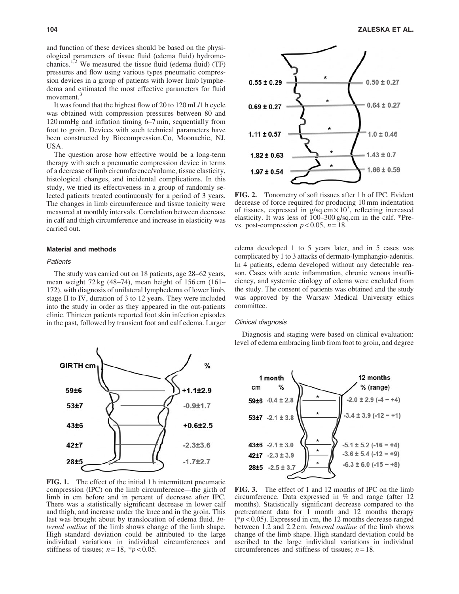and function of these devices should be based on the physiological parameters of tissue fluid (edema fluid) hydromechanics.<sup>1,2</sup> We measured the tissue fluid (edema fluid) (TF) pressures and flow using various types pneumatic compression devices in a group of patients with lower limb lymphedema and estimated the most effective parameters for fluid movement.<sup>3</sup>

It was found that the highest flow of 20 to 120 mL/1 h cycle was obtained with compression pressures between 80 and 120 mmHg and inflation timing 6–7 min, sequentially from foot to groin. Devices with such technical parameters have been constructed by Biocompression.Co, Moonachie, NJ, USA.

The question arose how effective would be a long-term therapy with such a pneumatic compression device in terms of a decrease of limb circumference/volume, tissue elasticity, histological changes, and incidental complications. In this study, we tried its effectiveness in a group of randomly selected patients treated continuously for a period of 3 years. The changes in limb circumference and tissue tonicity were measured at monthly intervals. Correlation between decrease in calf and thigh circumference and increase in elasticity was carried out.

## Material and methods

## **Patients**

The study was carried out on 18 patients, age 28–62 years, mean weight 72 kg (48–74), mean height of 156 cm (161– 172), with diagnosis of unilateral lymphedema of lower limb, stage II to IV, duration of 3 to 12 years. They were included into the study in order as they appeared in the out-patients clinic. Thirteen patients reported foot skin infection episodes in the past, followed by transient foot and calf edema. Larger



FIG. 1. The effect of the initial 1 h intermittent pneumatic compression (IPC) on the limb circumference—the girth of limb in cm before and in percent of decrease after IPC. There was a statistically significant decrease in lower calf and thigh, and increase under the knee and in the groin. This last was brought about by translocation of edema fluid. *Internal outline* of the limb shows change of the limb shape. High standard deviation could be attributed to the large individual variations in individual circumferences and stiffness of tissues;  $n = 18$ ,  $\frac{k}{p} < 0.05$ .



FIG. 2. Tonometry of soft tissues after 1 h of IPC. Evident decrease of force required for producing 10 mm indentation of tissues, expressed in  $g/sq.cm \times 10^3$ , reflecting increased elasticity. It was less of 100–300 g/sq.cm in the calf. \*Prevs. post-compression  $p < 0.05$ ,  $n = 18$ .

edema developed 1 to 5 years later, and in 5 cases was complicated by 1 to 3 attacks of dermato-lymphangio-adenitis. In 4 patients, edema developed without any detectable reason. Cases with acute inflammation, chronic venous insufficiency, and systemic etiology of edema were excluded from the study. The consent of patients was obtained and the study was approved by the Warsaw Medical University ethics committee.

## Clinical diagnosis

Diagnosis and staging were based on clinical evaluation: level of edema embracing limb from foot to groin, and degree



FIG. 3. The effect of 1 and 12 months of IPC on the limb circumference. Data expressed in % and range (after 12 months). Statistically significant decrease compared to the pretreatment data for 1 month and 12 months therapy  $(kp<0.05)$ . Expressed in cm, the 12 months decrease ranged between 1.2 and 2.2 cm. *Internal outline* of the limb shows change of the limb shape. High standard deviation could be ascribed to the large individual variations in individual circumferences and stiffness of tissues; *n* = 18.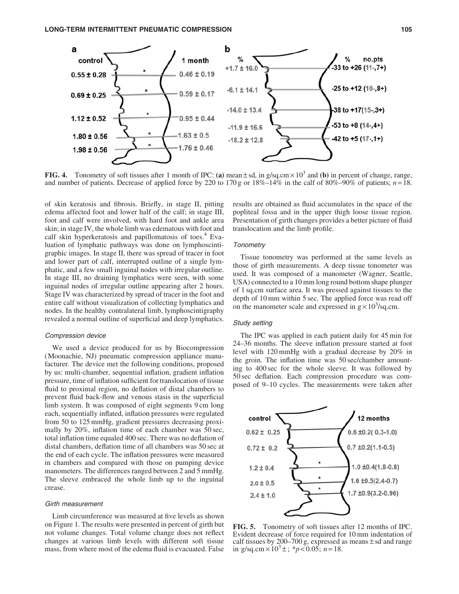

FIG. 4. Tonometry of soft tissues after 1 month of IPC: (a) mean  $\pm$  sd, in g/sq.cm  $\times$  10<sup>3</sup> and (b) in percent of change, range, and number of patients. Decrease of applied force by 220 to 170 g or  $18\%$ – $14\%$  in the calf of 80%–90% of patients;  $n=18$ .

of skin keratosis and fibrosis. Briefly, in stage II, pitting edema affected foot and lower half of the calf; in stage III, foot and calf were involved, with hard foot and ankle area skin; in stage IV, the whole limb was edematous with foot and calf skin hyperkeratosis and papillomatosis of toes.<sup>4</sup> Evaluation of lymphatic pathways was done on lymphoscintigraphic images. In stage II, there was spread of tracer in foot and lower part of calf, interrupted outline of a single lymphatic, and a few small inguinal nodes with irregular outline. In stage III, no draining lymphatics were seen, with some inguinal nodes of irregular outline appearing after 2 hours. Stage IV was characterized by spread of tracer in the foot and entire calf without visualization of collecting lymphatics and nodes. In the healthy contralateral limb, lymphoscintigraphy revealed a normal outline of superficial and deep lymphatics.

## Compression device

We used a device produced for us by Biocompression (Moonachie, NJ) pneumatic compression appliance manufacturer. The device met the following conditions, proposed by us: multi-chamber, sequential inflation, gradient inflation pressure, time of inflation sufficient for translocation of tissue fluid to proximal region, no deflation of distal chambers to prevent fluid back-flow and venous stasis in the superficial limb system. It was composed of eight segments 9 cm long each, sequentially inflated, inflation pressures were regulated from 50 to 125 mmHg, gradient pressures decreasing proximally by 20%, inflation time of each chamber was 50 sec, total inflation time equaled 400 sec. There was no deflation of distal chambers, deflation time of all chambers was 50 sec at the end of each cycle. The inflation pressures were measured in chambers and compared with those on pumping device manometers. The differences ranged between 2 and 5 mmHg. The sleeve embraced the whole limb up to the inguinal crease.

## Girth measurement

Limb circumference was measured at five levels as shown on Figure 1. The results were presented in percent of girth but not volume changes. Total volume change does not reflect changes at various limb levels with different soft tissue mass, from where most of the edema fluid is evacuated. False results are obtained as fluid accumulates in the space of the popliteal fossa and in the upper thigh loose tissue region. Presentation of girth changes provides a better picture of fluid translocation and the limb profile.

#### **Tonometry**

Tissue tonometry was performed at the same levels as those of girth measurements. A deep tissue tonometer was used. It was composed of a manometer (Wagner, Seattle, USA) connected to a 10 mm long round bottom shape plunger of 1 sq.cm surface area. It was pressed against tissues to the depth of 10 mm within 5 sec. The applied force was read off on the manometer scale and expressed in  $g \times 10^3$ /sq.cm.

# Study setting

The IPC was applied in each patient daily for 45 min for 24–36 months. The sleeve inflation pressure started at foot level with 120 mmHg with a gradual decrease by 20% in the groin. The inflation time was 50 sec/chamber amounting to 400 sec for the whole sleeve. It was followed by 50 sec deflation. Each compression procedure was composed of 9–10 cycles. The measurements were taken after



FIG. 5. Tonometry of soft tissues after 12 months of IPC. Evident decrease of force required for 10 mm indentation of calf tissues by 200–700 g, expressed as means  $\pm$  sd and range in g/sq.cm  $\times 10^3 \pm$ ; \* $p < 0.05$ ; *n* = 18.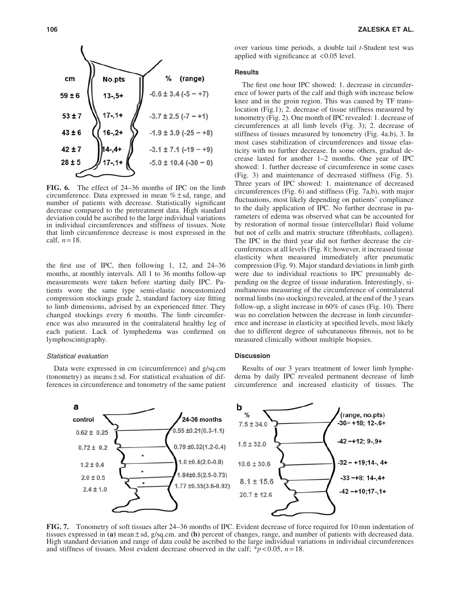

FIG. 6. The effect of 24–36 months of IPC on the limb circumference. Data expressed in mean  $\% \pm$ sd, range, and number of patients with decrease. Statistically significant decrease compared to the pretreatment data. High standard deviation could be ascribed to the large individual variations in individual circumferences and stiffness of tissues. Note that limb circumference decrease is most expressed in the calf,  $n = 18$ .

the first use of IPC, then following 1, 12, and 24–36 months, at monthly intervals. All 1 to 36 months follow-up measurements were taken before starting daily IPC. Patients wore the same type semi-elastic noncustomized compression stockings grade 2, standard factory size fitting to limb dimensions, advised by an experienced fitter. They changed stockings every 6 months. The limb circumference was also measured in the contralateral healthy leg of each patient. Lack of lymphedema was confirmed on lymphoscintigraphy.

### Statistical evaluation

Data were expressed in cm (circumference) and g/sq.cm (tonometry) as means  $\pm$  sd. For statistical evaluation of differences in circumference and tonometry of the same patient over various time periods, a double tail *t*-Student test was applied with significance at <0.05 level.

# **Results**

The first one hour IPC showed: 1. decrease in circumference of lower parts of the calf and thigh with increase below knee and in the groin region. This was caused by TF translocation (Fig.1); 2. decrease of tissue stiffness measured by tonometry (Fig. 2). One month of IPC revealed: 1. decrease of circumferences at all limb levels (Fig. 3); 2. decrease of stiffness of tissues measured by tonometry (Fig. 4a.b), 3. In most cases stabilization of circumferences and tissue elasticity with no further decrease. In some others, gradual decrease lasted for another 1–2 months. One year of IPC showed: 1. further decrease of circumference in some cases (Fig. 3) and maintenance of decreased stiffness (Fig. 5). Three years of IPC showed: 1. maintenance of decreased circumferences (Fig. 6) and stiffness (Fig. 7a,b), with major fluctuations, most likely depending on patients' compliance to the daily application of IPC. No further decrease in parameters of edema was observed what can be accounted for by restoration of normal tissue (intercellular) fluid volume but not of cells and matrix structure (fibroblasts, collagen). The IPC in the third year did not further decrease the circumferences at all levels (Fig. 8); however, it increased tissue elasticity when measured immediately after pneumatic compression (Fig. 9). Major standard deviations in limb girth were due to individual reactions to IPC presumably depending on the degree of tissue induration. Interestingly, simultaneous measuring of the circumference of contralateral normal limbs (no stockings) revealed, at the end of the 3 years follow-up, a slight increase in 60% of cases (Fig. 10). There was no correlation between the decrease in limb circumference and increase in elasticity at specified levels, most likely due to different degree of subcutaneous fibrosis, not to be measured clinically without multiple biopsies.

## **Discussion**

Results of our 3 years treatment of lower limb lymphedema by daily IPC revealed permanent decrease of limb circumference and increased elasticity of tissues. The



FIG. 7. Tonometry of soft tissues after 24–36 months of IPC. Evident decrease of force required for 10 mm indentation of tissues expressed in (a) mean  $\pm$  sd, g/sq.cm. and (b) percent of changes, range, and number of patients with decreased data. High standard deviation and range of data could be ascribed to the large individual variations in individual circumferences and stiffness of tissues. Most evident decrease observed in the calf;  $*p < 0.05$ ,  $n = 18$ .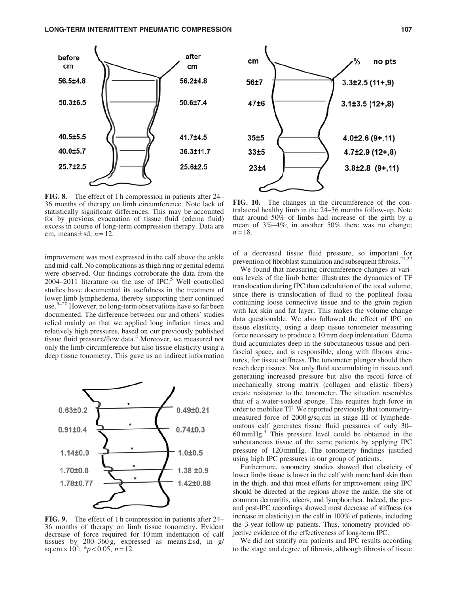before

 $cm$ 

56.5±4.8

 $50.3 \pm 6.5$ 

 $40.5 \pm 5.5$ 

 $40.0 \pm 5.7$ 

after

 $cm$ 

56.2±4.8

50.6±7.4

41.7±4.5

36.3±11.7



improvement was most expressed in the calf above the ankle and mid-calf. No complications as thigh ring or genital edema were observed. Our findings corroborate the data from the 2004–2011 literature on the use of IPC.<sup>5</sup> Well controlled studies have documented its usefulness in the treatment of lower limb lymphedema, thereby supporting their continued use.<sup>5–20</sup> However, no long-term observations have so far been documented. The difference between our and others' studies relied mainly on that we applied long inflation times and relatively high pressures, based on our previously published tissue fluid pressure/flow data.<sup>4</sup> Moreover, we measured not only the limb circumference but also tissue elasticity using a deep tissue tonometry. This gave us an indirect information



FIG. 9. The effect of 1 h compression in patients after 24– 36 months of therapy on limb tissue tonometry. Evident decrease of force required for 10 mm indentation of calf tissues by 200-360 $g$ , expressed as means  $\pm$  sd, in g/  $\text{sq.cm} \times 10^3$ ;  $\text{*} p < 0.05$ ,  $n = 12$ .



FIG. 10. The changes in the circumference of the contralateral healthy limb in the 24–36 months follow-up. Note that around 50% of limbs had increase of the girth by a mean of 3%–4%; in another 50% there was no change;  $n = 18$ .

of a decreased tissue fluid pressure, so important for prevention of fibroblast stimulation and subsequent fibrosis.<sup>21,22</sup>

We found that measuring circumference changes at various levels of the limb better illustrates the dynamics of TF translocation during IPC than calculation of the total volume, since there is translocation of fluid to the popliteal fossa containing loose connective tissue and to the groin region with lax skin and fat layer. This makes the volume change data questionable. We also followed the effect of IPC on tissue elasticity, using a deep tissue tonometer measuring force necessary to produce a 10 mm deep indentation. Edema fluid accumulates deep in the subcutaneous tissue and perifascial space, and is responsible, along with fibrous structures, for tissue stiffness. The tonometer plunger should then reach deep tissues. Not only fluid accumulating in tissues and generating increased pressure but also the recoil force of mechanically strong matrix (collagen and elastic fibers) create resistance to the tonometer. The situation resembles that of a water-soaked sponge. This requires high force in order to mobilize TF. We reported previously that tonometrymeasured force of 2000 g/sq.cm in stage III of lymphedematous calf generates tissue fluid pressures of only 30– 60 mmHg.<sup>4</sup> This pressure level could be obtained in the subcutaneous tissue of the same patients by applying IPC pressure of 120 mmHg. The tonometry findings justified using high IPC pressures in our group of patients.

Furthermore, tonometry studies showed that elasticity of lower limbs tissue is lower in the calf with more hard skin than in the thigh, and that most efforts for improvement using IPC should be directed at the regions above the ankle, the site of common dermatitis, ulcers, and lymphorrhea. Indeed, the preand post-IPC recordings showed most decrease of stiffness (or increase in elasticity) in the calf in 100% of patients, including the 3-year follow-up patients. Thus, tonometry provided objective evidence of the effectiveness of long-term IPC.

We did not stratify our patients and IPC results according to the stage and degree of fibrosis, although fibrosis of tissue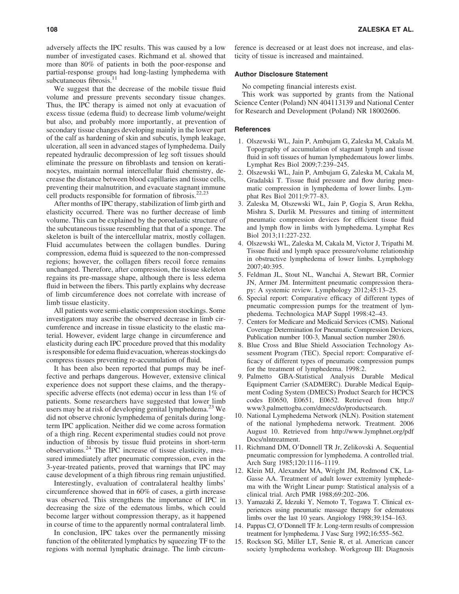adversely affects the IPC results. This was caused by a low number of investigated cases. Richmand et al. showed that more than 80% of patients in both the poor-response and partial-response groups had long-lasting lymphedema with subcutaneous fibrosis.<sup>11</sup>

We suggest that the decrease of the mobile tissue fluid volume and pressure prevents secondary tissue changes. Thus, the IPC therapy is aimed not only at evacuation of excess tissue (edema fluid) to decrease limb volume/weight but also, and probably more importantly, at prevention of secondary tissue changes developing mainly in the lower part of the calf as hardening of skin and subcutis, lymph leakage, ulceration, all seen in advanced stages of lymphedema. Daily repeated hydraulic decompression of leg soft tissues should eliminate the pressure on fibroblasts and tension on keratinocytes, maintain normal intercellular fluid chemistry, decrease the distance between blood capillaries and tissue cells, preventing their malnutrition, and evacuate stagnant immune cell products responsible for formation of fibrosis.<sup>22,23</sup>

After months of IPC therapy, stabilization of limb girth and elasticity occurred. There was no further decrease of limb volume. This can be explained by the poroelastic structure of the subcutaneous tissue resembling that that of a sponge. The skeleton is built of the intercellular matrix, mostly collagen. Fluid accumulates between the collagen bundles. During compression, edema fluid is squeezed to the non-compressed regions; however, the collagen fibers recoil force remains unchanged. Therefore, after compression, the tissue skeleton regains its pre-massage shape, although there is less edema fluid in between the fibers. This partly explains why decrease of limb circumference does not correlate with increase of limb tissue elasticity.

All patients wore semi-elastic compression stockings. Some investigators may ascribe the observed decrease in limb circumference and increase in tissue elasticity to the elastic material. However, evident large change in circumference and elasticity during each IPC procedure proved that this modality is responsible for edema fluid evacuation, whereas stockings do compress tissues preventing re-accumulation of fluid.

It has been also been reported that pumps may be ineffective and perhaps dangerous. However, extensive clinical experience does not support these claims, and the therapyspecific adverse effects (not edema) occur in less than 1% of patients. Some researchers have suggested that lower limb users may be at risk of developing genital lymphedema.<sup>23</sup> We did not observe chronic lymphedema of genitals during longterm IPC application. Neither did we come across formation of a thigh ring. Recent experimental studies could not prove induction of fibrosis by tissue fluid proteins in short-term observations.<sup>24</sup> The IPC increase of tissue elasticity, measured immediately after pneumatic compression, even in the 3-year-treated patients, proved that warnings that IPC may cause development of a thigh fibrous ring remain unjustified.

Interestingly, evaluation of contralateral healthy limbs' circumference showed that in 60% of cases, a girth increase was observed. This strengthens the importance of IPC in decreasing the size of the edematous limbs, which could become larger without compression therapy, as it happened in course of time to the apparently normal contralateral limb.

In conclusion, IPC takes over the permanently missing function of the obliterated lymphatics by squeezing TF to the regions with normal lymphatic drainage. The limb circumference is decreased or at least does not increase, and elasticity of tissue is increased and maintained.

# Author Disclosure Statement

No competing financial interests exist.

This work was supported by grants from the National Science Center (Poland) NN 404113139 and National Center for Research and Development (Poland) NR 18002606.

## References

- 1. Olszewski WL, Jain P, Ambujam G, Zaleska M, Cakala M. Topography of accumulation of stagnant lymph and tissue fluid in soft tissues of human lymphedematous lower limbs. Lymphat Res Biol 2009;7:239–245.
- 2. Olszewski WL, Jain P, Ambujam G, Zaleska M, Cakala M, Gradalski T. Tissue fluid pressure and flow during pneumatic compression in lymphedema of lower limbs. Lymphat Res Biol 2011;9:77–83.
- 3. Zaleska M, Olszewski WL, Jain P, Gogia S, Arun Rekha, Mishra S, Durlik M. Pressures and timing of intermittent pneumatic compression devices for efficient tissue fluid and lymph flow in limbs with lymphedema. Lymphat Res Biol 2013;11:227-232.
- 4. Olszewski WL, Zaleska M, Cakala M, Victor J, Tripathi M. Tissue fluid and lymph space pressure/volume relationship in obstructive lymphedema of lower limbs. Lymphology 2007;40:395.
- 5. Feldman JL, Stout NL, Wanchai A, Stewart BR, Cormier JN, Armer JM. Intermittent pneumatic compression therapy: A systemic review. Lymphology 2012;45:13–25.
- 6. Special report: Comparative efficacy of different types of pneumatic compression pumps for the treatment of lymphedema. Technologica MAP Suppl 1998:42–43.
- 7. Centers for Medicare and Medicaid Services (CMS). National Coverage Determination for Pneumatic Compression Devices, Publication number 100-3, Manual section number 280.6.
- 8. Blue Cross and Blue Shield Association Technology Assessment Program (TEC). Special report: Comparative efficacy of different types of pneumatic compression pumps for the treatment of lymphedema. 1998:2.
- 9. Palmetto GBA-Statistical Analysis Durable Medical Equipment Carrier (SADMERC). Durable Medical Equipment Coding System (DMECS) Product Search for HCPCS codes E0650, E0651, E0652. Retrieved from http:// www3.palmettogba.com/dmecs/do/productsearch.
- 10. National Lymphedema Network (NLN). Position statement of the national lymphedema network. Treatment. 2006 August 10. Retrieved from http://www.lymphnet.org/pdf Docs/nlntreatment.
- 11. Richmand DM, O'Donnell TR Jr, Zelikovski A. Sequential pneumatic compression for lymphedema. A controlled trial. Arch Surg 1985;120:1116–1119.
- 12. Klein MJ, Alexander MA, Wright JM, Redmond CK, La-Gasse AA. Treatment of adult lower extremity lymphedema with the Wright Linear pump: Statistical analysis of a clinical trial. Arch PMR 1988;69:202–206.
- 13. Yamazaki Z, Idezuki Y, Nemoto T, Togawa T. Clinical experiences using pneumatic massage therapy for edematous limbs over the last 10 years. Angiology 1988;39:154–163.
- 14. Pappas CJ, O'Donnell TF Jr. Long-term results of compression treatment for lymphedema. J Vasc Surg 1992;16:555–562.
- 15. Rockson SG, Miller LT, Senie R, et al. American cancer society lymphedema workshop. Workgroup III: Diagnosis